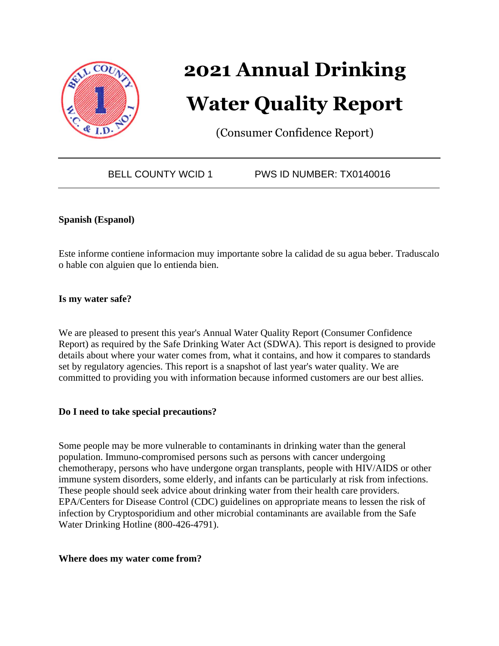

# **2021 Annual Drinking Water Quality Report**

(Consumer Confidence Report)

BELL COUNTY WCID 1 PWS ID NUMBER: TX0140016

#### **Spanish (Espanol)**

Este informe contiene informacion muy importante sobre la calidad de su agua beber. Traduscalo o hable con alguien que lo entienda bien.

**Is my water safe?**

We are pleased to present this year's Annual Water Quality Report (Consumer Confidence Report) as required by the Safe Drinking Water Act (SDWA). This report is designed to provide details about where your water comes from, what it contains, and how it compares to standards set by regulatory agencies. This report is a snapshot of last year's water quality. We are committed to providing you with information because informed customers are our best allies.

#### **Do I need to take special precautions?**

Some people may be more vulnerable to contaminants in drinking water than the general population. Immuno-compromised persons such as persons with cancer undergoing chemotherapy, persons who have undergone organ transplants, people with HIV/AIDS or other immune system disorders, some elderly, and infants can be particularly at risk from infections. These people should seek advice about drinking water from their health care providers. EPA/Centers for Disease Control (CDC) guidelines on appropriate means to lessen the risk of infection by Cryptosporidium and other microbial contaminants are available from the Safe Water Drinking Hotline (800-426-4791).

#### **Where does my water come from?**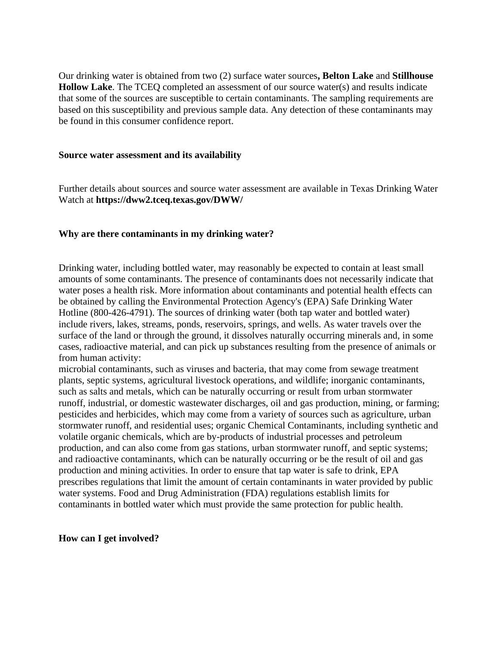Our drinking water is obtained from two (2) surface water sources**, Belton Lake** and **Stillhouse Hollow Lake**. The TCEQ completed an assessment of our source water(s) and results indicate that some of the sources are susceptible to certain contaminants. The sampling requirements are based on this susceptibility and previous sample data. Any detection of these contaminants may be found in this consumer confidence report.

#### **Source water assessment and its availability**

Further details about sources and source water assessment are available in Texas Drinking Water Watch at **https://dww2.tceq.texas.gov/DWW/**

#### **Why are there contaminants in my drinking water?**

Drinking water, including bottled water, may reasonably be expected to contain at least small amounts of some contaminants. The presence of contaminants does not necessarily indicate that water poses a health risk. More information about contaminants and potential health effects can be obtained by calling the Environmental Protection Agency's (EPA) Safe Drinking Water Hotline (800-426-4791). The sources of drinking water (both tap water and bottled water) include rivers, lakes, streams, ponds, reservoirs, springs, and wells. As water travels over the surface of the land or through the ground, it dissolves naturally occurring minerals and, in some cases, radioactive material, and can pick up substances resulting from the presence of animals or from human activity:

microbial contaminants, such as viruses and bacteria, that may come from sewage treatment plants, septic systems, agricultural livestock operations, and wildlife; inorganic contaminants, such as salts and metals, which can be naturally occurring or result from urban stormwater runoff, industrial, or domestic wastewater discharges, oil and gas production, mining, or farming; pesticides and herbicides, which may come from a variety of sources such as agriculture, urban stormwater runoff, and residential uses; organic Chemical Contaminants, including synthetic and volatile organic chemicals, which are by-products of industrial processes and petroleum production, and can also come from gas stations, urban stormwater runoff, and septic systems; and radioactive contaminants, which can be naturally occurring or be the result of oil and gas production and mining activities. In order to ensure that tap water is safe to drink, EPA prescribes regulations that limit the amount of certain contaminants in water provided by public water systems. Food and Drug Administration (FDA) regulations establish limits for contaminants in bottled water which must provide the same protection for public health.

**How can I get involved?**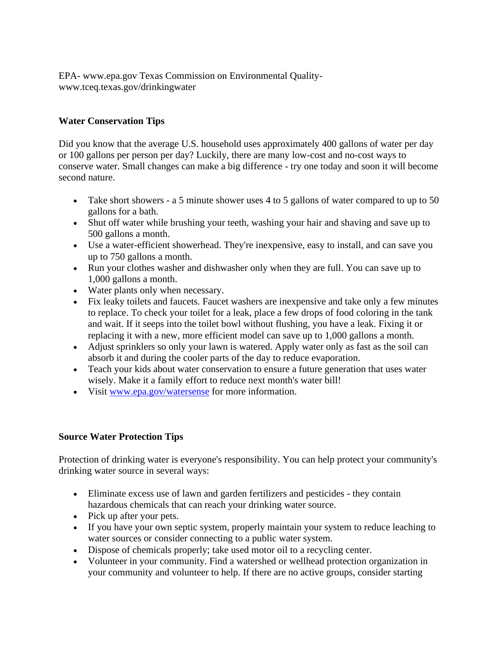EPA- www.epa.gov Texas Commission on Environmental Qualitywww.tceq.texas.gov/drinkingwater

## **Water Conservation Tips**

Did you know that the average U.S. household uses approximately 400 gallons of water per day or 100 gallons per person per day? Luckily, there are many low-cost and no-cost ways to conserve water. Small changes can make a big difference - try one today and soon it will become second nature.

- Take short showers a 5 minute shower uses 4 to 5 gallons of water compared to up to 50 gallons for a bath.
- Shut off water while brushing your teeth, washing your hair and shaving and save up to 500 gallons a month.
- Use a water-efficient showerhead. They're inexpensive, easy to install, and can save you up to 750 gallons a month.
- Run your clothes washer and dishwasher only when they are full. You can save up to 1,000 gallons a month.
- Water plants only when necessary.
- Fix leaky toilets and faucets. Faucet washers are inexpensive and take only a few minutes to replace. To check your toilet for a leak, place a few drops of food coloring in the tank and wait. If it seeps into the toilet bowl without flushing, you have a leak. Fixing it or replacing it with a new, more efficient model can save up to 1,000 gallons a month.
- Adjust sprinklers so only your lawn is watered. Apply water only as fast as the soil can absorb it and during the cooler parts of the day to reduce evaporation.
- Teach your kids about water conservation to ensure a future generation that uses water wisely. Make it a family effort to reduce next month's water bill!
- Visit [www.epa.gov/watersense](http://www.epa.gov/watersense) for more information.

## **Source Water Protection Tips**

Protection of drinking water is everyone's responsibility. You can help protect your community's drinking water source in several ways:

- Eliminate excess use of lawn and garden fertilizers and pesticides they contain hazardous chemicals that can reach your drinking water source.
- Pick up after your pets.
- If you have your own septic system, properly maintain your system to reduce leaching to water sources or consider connecting to a public water system.
- Dispose of chemicals properly; take used motor oil to a recycling center.
- Volunteer in your community. Find a watershed or wellhead protection organization in your community and volunteer to help. If there are no active groups, consider starting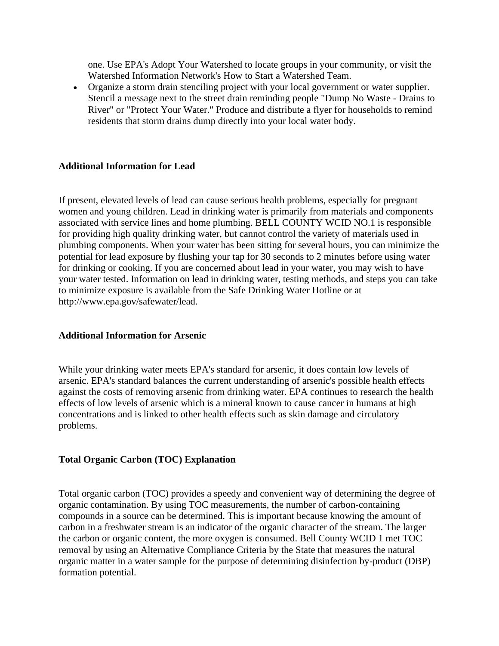one. Use EPA's Adopt Your Watershed to locate groups in your community, or visit the Watershed Information Network's How to Start a Watershed Team.

• Organize a storm drain stenciling project with your local government or water supplier. Stencil a message next to the street drain reminding people "Dump No Waste - Drains to River" or "Protect Your Water." Produce and distribute a flyer for households to remind residents that storm drains dump directly into your local water body.

#### **Additional Information for Lead**

If present, elevated levels of lead can cause serious health problems, especially for pregnant women and young children. Lead in drinking water is primarily from materials and components associated with service lines and home plumbing. BELL COUNTY WCID NO.1 is responsible for providing high quality drinking water, but cannot control the variety of materials used in plumbing components. When your water has been sitting for several hours, you can minimize the potential for lead exposure by flushing your tap for 30 seconds to 2 minutes before using water for drinking or cooking. If you are concerned about lead in your water, you may wish to have your water tested. Information on lead in drinking water, testing methods, and steps you can take to minimize exposure is available from the Safe Drinking Water Hotline or at http://www.epa.gov/safewater/lead.

#### **Additional Information for Arsenic**

While your drinking water meets EPA's standard for arsenic, it does contain low levels of arsenic. EPA's standard balances the current understanding of arsenic's possible health effects against the costs of removing arsenic from drinking water. EPA continues to research the health effects of low levels of arsenic which is a mineral known to cause cancer in humans at high concentrations and is linked to other health effects such as skin damage and circulatory problems.

#### **Total Organic Carbon (TOC) Explanation**

Total organic carbon (TOC) provides a speedy and convenient way of determining the degree of organic contamination. By using TOC measurements, the number of carbon-containing compounds in a source can be determined. This is important because knowing the amount of carbon in a freshwater stream is an indicator of the organic character of the stream. The larger the carbon or organic content, the more oxygen is consumed. Bell County WCID 1 met TOC removal by using an Alternative Compliance Criteria by the State that measures the natural organic matter in a water sample for the purpose of determining disinfection by-product (DBP) formation potential.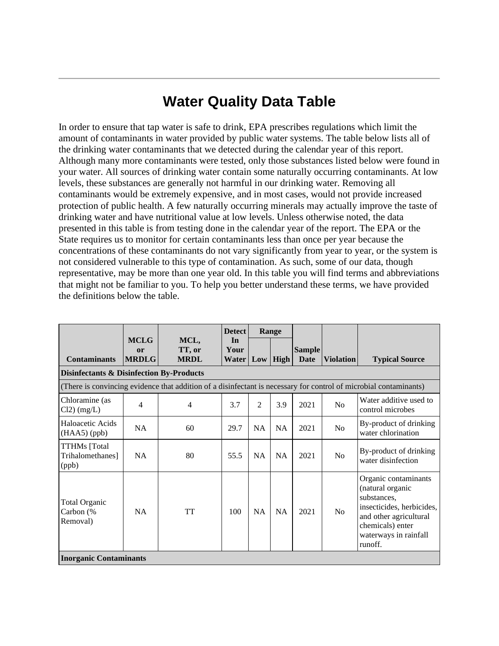# **Water Quality Data Table**

In order to ensure that tap water is safe to drink, EPA prescribes regulations which limit the amount of contaminants in water provided by public water systems. The table below lists all of the drinking water contaminants that we detected during the calendar year of this report. Although many more contaminants were tested, only those substances listed below were found in your water. All sources of drinking water contain some naturally occurring contaminants. At low levels, these substances are generally not harmful in our drinking water. Removing all contaminants would be extremely expensive, and in most cases, would not provide increased protection of public health. A few naturally occurring minerals may actually improve the taste of drinking water and have nutritional value at low levels. Unless otherwise noted, the data presented in this table is from testing done in the calendar year of the report. The EPA or the State requires us to monitor for certain contaminants less than once per year because the concentrations of these contaminants do not vary significantly from year to year, or the system is not considered vulnerable to this type of contamination. As such, some of our data, though representative, may be more than one year old. In this table you will find terms and abbreviations that might not be familiar to you. To help you better understand these terms, we have provided the definitions below the table.

|                                                     |                                                                                                                   |                               | <b>Detect</b>                             |                | Range     |                       |                  |                                                                                                                                                                        |
|-----------------------------------------------------|-------------------------------------------------------------------------------------------------------------------|-------------------------------|-------------------------------------------|----------------|-----------|-----------------------|------------------|------------------------------------------------------------------------------------------------------------------------------------------------------------------------|
| <b>Contaminants</b>                                 | <b>MCLG</b><br>or<br><b>MRDLG</b>                                                                                 | MCL,<br>TT, or<br><b>MRDL</b> | In<br>Your<br><b>Water   Low   High  </b> |                |           | <b>Sample</b><br>Date | <b>Violation</b> | <b>Typical Source</b>                                                                                                                                                  |
| <b>Disinfectants &amp; Disinfection By-Products</b> |                                                                                                                   |                               |                                           |                |           |                       |                  |                                                                                                                                                                        |
|                                                     | (There is convincing evidence that addition of a disinfectant is necessary for control of microbial contaminants) |                               |                                           |                |           |                       |                  |                                                                                                                                                                        |
| Chloramine (as<br>$Cl2)$ (mg/L)                     | 4                                                                                                                 | $\overline{4}$                | 3.7                                       | $\overline{2}$ | 3.9       | 2021                  | No               | Water additive used to<br>control microbes                                                                                                                             |
| Haloacetic Acids<br>$(HAA5)$ (ppb)                  | <b>NA</b>                                                                                                         | 60                            | 29.7                                      | <b>NA</b>      | <b>NA</b> | 2021                  | N <sub>o</sub>   | By-product of drinking<br>water chlorination                                                                                                                           |
| <b>TTHMs</b> [Total<br>Trihalomethanes]<br>(ppb)    | <b>NA</b>                                                                                                         | 80                            | 55.5                                      | <b>NA</b>      | <b>NA</b> | 2021                  | N <sub>o</sub>   | By-product of drinking<br>water disinfection                                                                                                                           |
| <b>Total Organic</b><br>Carbon (%<br>Removal)       | <b>NA</b>                                                                                                         | <b>TT</b>                     | 100                                       | <b>NA</b>      | <b>NA</b> | 2021                  | N <sub>o</sub>   | Organic contaminants<br>(natural organic<br>substances,<br>insecticides, herbicides,<br>and other agricultural<br>chemicals) enter<br>waterways in rainfall<br>runoff. |
| <b>Inorganic Contaminants</b>                       |                                                                                                                   |                               |                                           |                |           |                       |                  |                                                                                                                                                                        |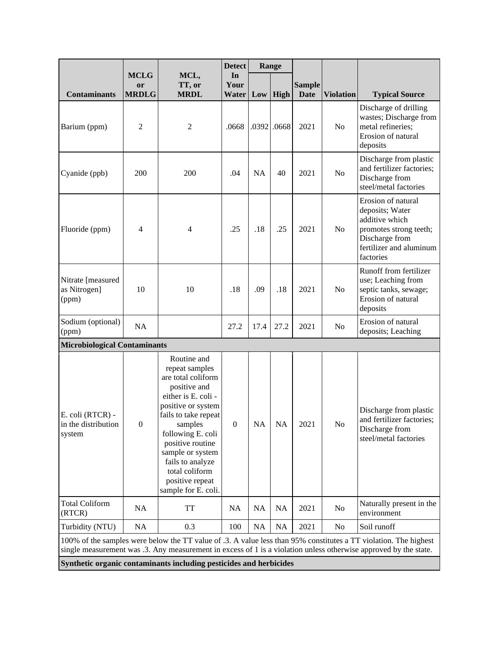|                                                   |                                   | <b>Detect</b>                                                                                                                                                                                                                                                                                    |                            | Range     |               |                              |                  |                                                                                                                                                                                                                                      |
|---------------------------------------------------|-----------------------------------|--------------------------------------------------------------------------------------------------------------------------------------------------------------------------------------------------------------------------------------------------------------------------------------------------|----------------------------|-----------|---------------|------------------------------|------------------|--------------------------------------------------------------------------------------------------------------------------------------------------------------------------------------------------------------------------------------|
| <b>Contaminants</b>                               | <b>MCLG</b><br>or<br><b>MRDLG</b> | MCL,<br>TT, or<br><b>MRDL</b>                                                                                                                                                                                                                                                                    | In<br>Your<br><b>Water</b> |           | $Low$ High    | <b>Sample</b><br><b>Date</b> | <b>Violation</b> | <b>Typical Source</b>                                                                                                                                                                                                                |
| Barium (ppm)                                      | $\overline{2}$                    | $\mathfrak{2}$                                                                                                                                                                                                                                                                                   | .0668                      |           | $.0392$ .0668 | 2021                         | N <sub>o</sub>   | Discharge of drilling<br>wastes; Discharge from<br>metal refineries;<br>Erosion of natural<br>deposits                                                                                                                               |
| Cyanide (ppb)                                     | 200                               | 200                                                                                                                                                                                                                                                                                              | .04                        | <b>NA</b> | 40            | 2021                         | No               | Discharge from plastic<br>and fertilizer factories;<br>Discharge from<br>steel/metal factories                                                                                                                                       |
| Fluoride (ppm)                                    | 4                                 | $\overline{\mathcal{A}}$                                                                                                                                                                                                                                                                         | .25                        | .18       | .25           | 2021                         | N <sub>o</sub>   | Erosion of natural<br>deposits; Water<br>additive which<br>promotes strong teeth;<br>Discharge from<br>fertilizer and aluminum<br>factories                                                                                          |
| Nitrate [measured<br>as Nitrogen]<br>(ppm)        | 10                                | 10                                                                                                                                                                                                                                                                                               | .18                        | .09       | .18           | 2021                         | N <sub>0</sub>   | Runoff from fertilizer<br>use; Leaching from<br>septic tanks, sewage;<br>Erosion of natural<br>deposits                                                                                                                              |
| Sodium (optional)<br>(ppm)                        | <b>NA</b>                         |                                                                                                                                                                                                                                                                                                  | 27.2                       | 17.4      | 27.2          | 2021                         | No               | Erosion of natural<br>deposits; Leaching                                                                                                                                                                                             |
| <b>Microbiological Contaminants</b>               |                                   |                                                                                                                                                                                                                                                                                                  |                            |           |               |                              |                  |                                                                                                                                                                                                                                      |
| E. coli (RTCR) -<br>in the distribution<br>system | $\mathbf{0}$                      | Routine and<br>repeat samples<br>are total coliform<br>positive and<br>either is E. coli -<br>positive or system<br>fails to take repeat<br>samples<br>following E. coli<br>positive routine<br>sample or system<br>fails to analyze<br>total coliform<br>positive repeat<br>sample for E. coli. | $\overline{0}$             | NA        | <b>NA</b>     | 2021                         | $\rm No$         | Discharge from plastic<br>and fertilizer factories;<br>Discharge from<br>steel/metal factories                                                                                                                                       |
| <b>Total Coliform</b><br>(RTCR)                   | <b>NA</b>                         | TT                                                                                                                                                                                                                                                                                               | <b>NA</b>                  | <b>NA</b> | <b>NA</b>     | 2021                         | No               | Naturally present in the<br>environment                                                                                                                                                                                              |
| Turbidity (NTU)                                   | NA                                | 0.3                                                                                                                                                                                                                                                                                              | 100                        | <b>NA</b> | NA            | 2021                         | N <sub>o</sub>   | Soil runoff                                                                                                                                                                                                                          |
|                                                   |                                   |                                                                                                                                                                                                                                                                                                  |                            |           |               |                              |                  | 100% of the samples were below the TT value of .3. A value less than 95% constitutes a TT violation. The highest<br>single measurement was .3. Any measurement in excess of 1 is a violation unless otherwise approved by the state. |
|                                                   |                                   | Synthetic organic contaminants including pesticides and herbicides                                                                                                                                                                                                                               |                            |           |               |                              |                  |                                                                                                                                                                                                                                      |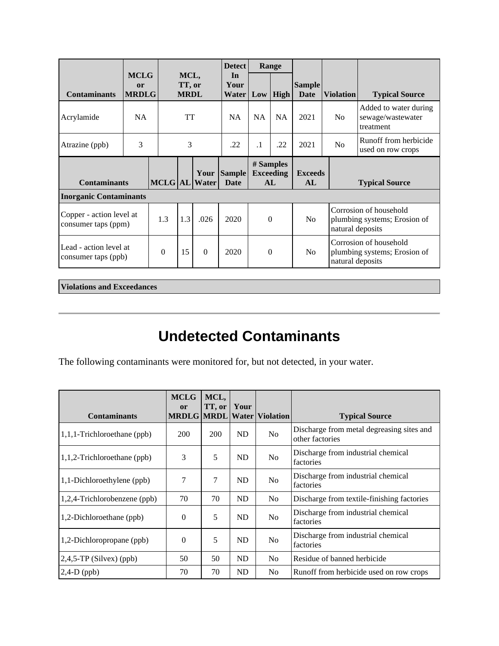|                                                 |                                              |          |                               |     | <b>Detect</b>                |                           | Range                               |                                                                                                          |                       |                                                         |                                                        |                                            |
|-------------------------------------------------|----------------------------------------------|----------|-------------------------------|-----|------------------------------|---------------------------|-------------------------------------|----------------------------------------------------------------------------------------------------------|-----------------------|---------------------------------------------------------|--------------------------------------------------------|--------------------------------------------|
| <b>Contaminants</b>                             | <b>MCLG</b><br><sub>or</sub><br><b>MRDLG</b> |          | MCL,<br>TT, or<br><b>MRDL</b> |     |                              | In<br>Your<br>Water   Low |                                     | High                                                                                                     | <b>Sample</b><br>Date | <b>Violation</b>                                        | <b>Typical Source</b>                                  |                                            |
| Acrylamide                                      | NA.                                          |          | <b>TT</b>                     |     | <b>NA</b>                    | <b>NA</b>                 | <b>NA</b>                           | 2021                                                                                                     | N <sub>o</sub>        | Added to water during<br>sewage/wastewater<br>treatment |                                                        |                                            |
| Atrazine (ppb)                                  | 3                                            |          |                               |     | 3                            |                           | .22                                 | $\cdot$ 1                                                                                                | .22                   | 2021                                                    | No                                                     | Runoff from herbicide<br>used on row crops |
| <b>Contaminants</b>                             |                                              |          |                               |     | Your<br><b>MCLG</b> AL Water | <b>Sample</b><br>Date     | # Samples<br><b>Exceeding</b><br>AL |                                                                                                          | <b>Exceeds</b><br>AL  |                                                         | <b>Typical Source</b>                                  |                                            |
|                                                 | <b>Inorganic Contaminants</b>                |          |                               |     |                              |                           |                                     |                                                                                                          |                       |                                                         |                                                        |                                            |
| Copper - action level at<br>consumer taps (ppm) |                                              | 1.3      |                               | 1.3 | .026                         | 2020                      |                                     | Corrosion of household<br>$\Omega$<br>N <sub>0</sub><br>plumbing systems; Erosion of<br>natural deposits |                       |                                                         |                                                        |                                            |
| Lead - action level at<br>consumer taps (ppb)   |                                              | $\theta$ |                               | 15  | $\Omega$                     | 2020                      | $\Omega$                            |                                                                                                          | N <sub>0</sub>        | natural deposits                                        | Corrosion of household<br>plumbing systems; Erosion of |                                            |

**Violations and Exceedances**

# **Undetected Contaminants**

The following contaminants were monitored for, but not detected, in your water.

| <b>Contaminants</b>            | <b>MCLG</b><br>or | MCL,<br>TT, or   Your |           | <b>MRDLG MRDL Water Violation</b> | <b>Typical Source</b>                                        |
|--------------------------------|-------------------|-----------------------|-----------|-----------------------------------|--------------------------------------------------------------|
| $1,1,1$ -Trichloroethane (ppb) | 200               | 200                   | <b>ND</b> | N <sub>0</sub>                    | Discharge from metal degreasing sites and<br>other factories |
| $1,1,2$ -Trichloroethane (ppb) | 3                 | 5                     | <b>ND</b> | N <sub>0</sub>                    | Discharge from industrial chemical<br>factories              |
| 1,1-Dichloroethylene (ppb)     | 7                 | 7                     | <b>ND</b> | N <sub>0</sub>                    | Discharge from industrial chemical<br>factories              |
| 1,2,4-Trichlorobenzene (ppb)   | 70                | 70                    | <b>ND</b> | N <sub>0</sub>                    | Discharge from textile-finishing factories                   |
| 1,2-Dichloroethane (ppb)       | $\Omega$          | 5                     | <b>ND</b> | N <sub>0</sub>                    | Discharge from industrial chemical<br>factories              |
| 1,2-Dichloropropane (ppb)      | $\overline{0}$    | 5                     | <b>ND</b> | N <sub>0</sub>                    | Discharge from industrial chemical<br>factories              |
| $2,4,5$ -TP (Silvex) (ppb)     | 50                | 50                    | <b>ND</b> | N <sub>o</sub>                    | Residue of banned herbicide                                  |
| $2,4-D$ (ppb)                  | 70                | 70                    | <b>ND</b> | N <sub>0</sub>                    | Runoff from herbicide used on row crops                      |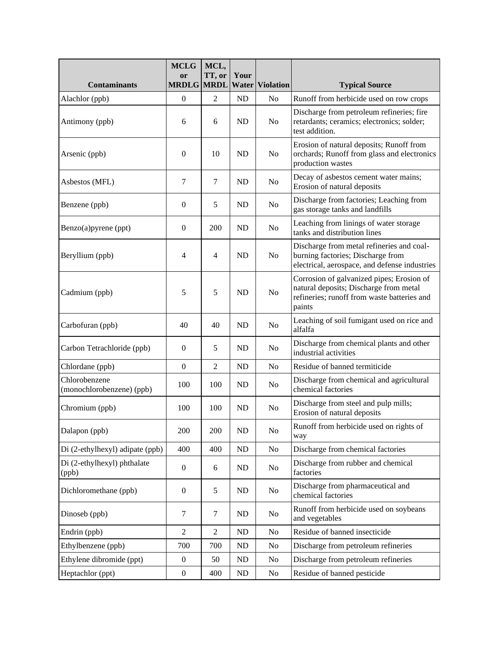|                                            | <b>MCLG</b><br><b>or</b> | MCL,<br>TT, or | Your      |                        |                                                                                                                                              |
|--------------------------------------------|--------------------------|----------------|-----------|------------------------|----------------------------------------------------------------------------------------------------------------------------------------------|
| <b>Contaminants</b>                        | <b>MRDLG</b>             | <b>MRDL</b>    |           | <b>Water Violation</b> | <b>Typical Source</b>                                                                                                                        |
| Alachlor (ppb)                             | $\boldsymbol{0}$         | $\overline{2}$ | ND        | No                     | Runoff from herbicide used on row crops                                                                                                      |
| Antimony (ppb)                             | 6                        | 6              | <b>ND</b> | No                     | Discharge from petroleum refineries; fire<br>retardants; ceramics; electronics; solder;<br>test addition.                                    |
| Arsenic (ppb)                              | $\mathbf{0}$             | 10             | <b>ND</b> | No                     | Erosion of natural deposits; Runoff from<br>orchards; Runoff from glass and electronics<br>production wastes                                 |
| Asbestos (MFL)                             | 7                        | 7              | <b>ND</b> | No                     | Decay of asbestos cement water mains;<br>Erosion of natural deposits                                                                         |
| Benzene (ppb)                              | $\boldsymbol{0}$         | 5              | <b>ND</b> | No                     | Discharge from factories; Leaching from<br>gas storage tanks and landfills                                                                   |
| Benzo(a)pyrene (ppt)                       | $\boldsymbol{0}$         | 200            | <b>ND</b> | No                     | Leaching from linings of water storage<br>tanks and distribution lines                                                                       |
| Beryllium (ppb)                            | $\overline{4}$           | 4              | <b>ND</b> | No                     | Discharge from metal refineries and coal-<br>burning factories; Discharge from<br>electrical, aerospace, and defense industries              |
| Cadmium (ppb)                              | 5                        | 5              | <b>ND</b> | No                     | Corrosion of galvanized pipes; Erosion of<br>natural deposits; Discharge from metal<br>refineries; runoff from waste batteries and<br>paints |
| Carbofuran (ppb)                           | 40                       | 40             | <b>ND</b> | No                     | Leaching of soil fumigant used on rice and<br>alfalfa                                                                                        |
| Carbon Tetrachloride (ppb)                 | $\mathbf{0}$             | 5              | <b>ND</b> | No                     | Discharge from chemical plants and other<br>industrial activities                                                                            |
| Chlordane (ppb)                            | $\boldsymbol{0}$         | $\overline{2}$ | <b>ND</b> | No                     | Residue of banned termiticide                                                                                                                |
| Chlorobenzene<br>(monochlorobenzene) (ppb) | 100                      | 100            | <b>ND</b> | No                     | Discharge from chemical and agricultural<br>chemical factories                                                                               |
| Chromium (ppb)                             | 100                      | 100            | <b>ND</b> | No                     | Discharge from steel and pulp mills;<br>Erosion of natural deposits                                                                          |
| Dalapon (ppb)                              | 200                      | 200            | ND        | No                     | Runoff from herbicide used on rights of<br>way                                                                                               |
| Di (2-ethylhexyl) adipate (ppb)            | 400                      | 400            | ND        | No                     | Discharge from chemical factories                                                                                                            |
| Di (2-ethylhexyl) phthalate<br>(ppb)       | $\boldsymbol{0}$         | 6              | ND        | No                     | Discharge from rubber and chemical<br>factories                                                                                              |
| Dichloromethane (ppb)                      | $\mathbf{0}$             | 5              | <b>ND</b> | No                     | Discharge from pharmaceutical and<br>chemical factories                                                                                      |
| Dinoseb (ppb)                              | $\tau$                   | $\tau$         | ND        | No                     | Runoff from herbicide used on soybeans<br>and vegetables                                                                                     |
| Endrin (ppb)                               | $\overline{2}$           | $\overline{2}$ | ND        | No                     | Residue of banned insecticide                                                                                                                |
| Ethylbenzene (ppb)                         | 700                      | 700            | ND        | No                     | Discharge from petroleum refineries                                                                                                          |
| Ethylene dibromide (ppt)                   | $\boldsymbol{0}$         | 50             | ND        | No                     | Discharge from petroleum refineries                                                                                                          |
| Heptachlor (ppt)                           | $\boldsymbol{0}$         | 400            | ND        | No                     | Residue of banned pesticide                                                                                                                  |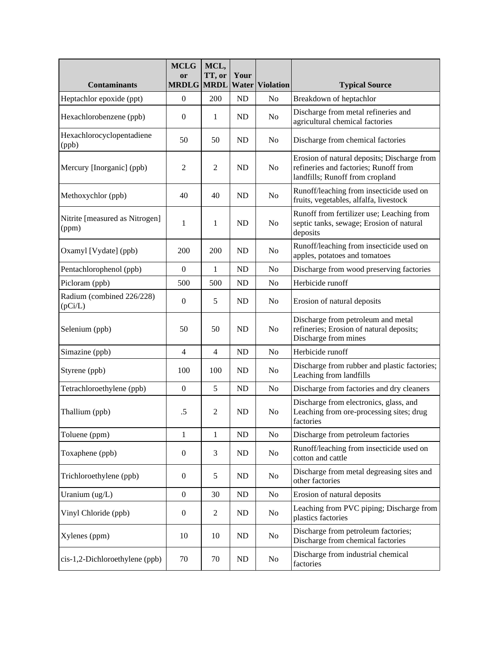| <b>Contaminants</b>                     | <b>MCLG</b><br>or<br><b>MRDLG</b> | MCL,<br>TT, or<br><b>MRDL</b> | Your      | <b>Water Violation</b> | <b>Typical Source</b>                                                                                                   |
|-----------------------------------------|-----------------------------------|-------------------------------|-----------|------------------------|-------------------------------------------------------------------------------------------------------------------------|
| Heptachlor epoxide (ppt)                | $\overline{0}$                    | 200                           | ND        | N <sub>0</sub>         | Breakdown of heptachlor                                                                                                 |
| Hexachlorobenzene (ppb)                 | $\boldsymbol{0}$                  | 1                             | ND        | No                     | Discharge from metal refineries and<br>agricultural chemical factories                                                  |
| Hexachlorocyclopentadiene<br>(ppb)      | 50                                | 50                            | <b>ND</b> | No                     | Discharge from chemical factories                                                                                       |
| Mercury [Inorganic] (ppb)               | $\overline{2}$                    | $\overline{2}$                | <b>ND</b> | N <sub>o</sub>         | Erosion of natural deposits; Discharge from<br>refineries and factories; Runoff from<br>landfills; Runoff from cropland |
| Methoxychlor (ppb)                      | 40                                | 40                            | ND        | No                     | Runoff/leaching from insecticide used on<br>fruits, vegetables, alfalfa, livestock                                      |
| Nitrite [measured as Nitrogen]<br>(ppm) | 1                                 | 1                             | <b>ND</b> | N <sub>o</sub>         | Runoff from fertilizer use; Leaching from<br>septic tanks, sewage; Erosion of natural<br>deposits                       |
| Oxamyl [Vydate] (ppb)                   | 200                               | 200                           | <b>ND</b> | No                     | Runoff/leaching from insecticide used on<br>apples, potatoes and tomatoes                                               |
| Pentachlorophenol (ppb)                 | $\mathbf{0}$                      | $\mathbf{1}$                  | ND        | No                     | Discharge from wood preserving factories                                                                                |
| Picloram (ppb)                          | 500                               | 500                           | ND        | N <sub>0</sub>         | Herbicide runoff                                                                                                        |
| Radium (combined 226/228)<br>(pCi/L)    | $\boldsymbol{0}$                  | 5                             | <b>ND</b> | No                     | Erosion of natural deposits                                                                                             |
| Selenium (ppb)                          | 50                                | 50                            | ND        | No                     | Discharge from petroleum and metal<br>refineries; Erosion of natural deposits;<br>Discharge from mines                  |
| Simazine (ppb)                          | $\overline{4}$                    | $\overline{4}$                | ND        | No                     | Herbicide runoff                                                                                                        |
| Styrene (ppb)                           | 100                               | 100                           | ND        | N <sub>o</sub>         | Discharge from rubber and plastic factories;<br>Leaching from landfills                                                 |
| Tetrachloroethylene (ppb)               | $\boldsymbol{0}$                  | 5                             | ND        | No                     | Discharge from factories and dry cleaners                                                                               |
| Thallium (ppb)                          | $.5\,$                            | $\overline{2}$                | <b>ND</b> | No                     | Discharge from electronics, glass, and<br>Leaching from ore-processing sites; drug<br>factories                         |
| Toluene (ppm)                           | $\mathbf{1}$                      | $\mathbf{1}$                  | ND        | No                     | Discharge from petroleum factories                                                                                      |
| Toxaphene (ppb)                         | $\overline{0}$                    | 3                             | ND        | No                     | Runoff/leaching from insecticide used on<br>cotton and cattle                                                           |
| Trichloroethylene (ppb)                 | $\boldsymbol{0}$                  | 5                             | ND        | No                     | Discharge from metal degreasing sites and<br>other factories                                                            |
| Uranium (ug/L)                          | $\boldsymbol{0}$                  | 30                            | ND        | N <sub>0</sub>         | Erosion of natural deposits                                                                                             |
| Vinyl Chloride (ppb)                    | $\boldsymbol{0}$                  | $\overline{2}$                | ND        | N <sub>0</sub>         | Leaching from PVC piping; Discharge from<br>plastics factories                                                          |
| Xylenes (ppm)                           | 10                                | 10                            | ND        | No                     | Discharge from petroleum factories;<br>Discharge from chemical factories                                                |
| cis-1,2-Dichloroethylene (ppb)          | 70                                | 70                            | ND        | N <sub>0</sub>         | Discharge from industrial chemical<br>factories                                                                         |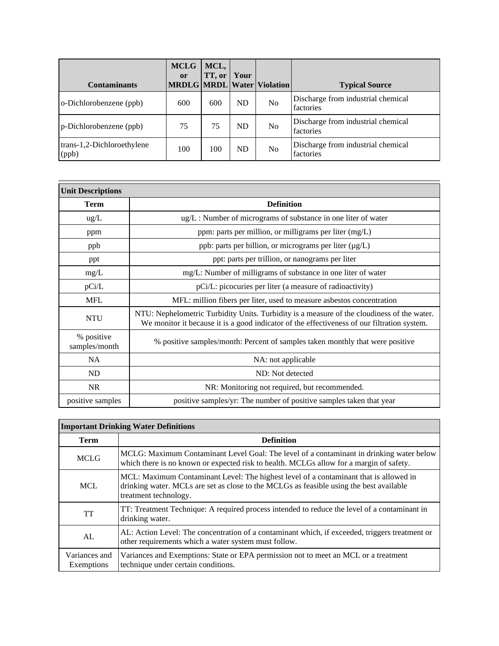| <b>Contaminants</b>                 | <b>MCLG</b><br><sub>or</sub> | MCL,<br>TT, or | Your      | <b>MRDLG MRDL Water Violation</b> | <b>Typical Source</b>                           |
|-------------------------------------|------------------------------|----------------|-----------|-----------------------------------|-------------------------------------------------|
| o-Dichlorobenzene (ppb)             | 600                          | 600            | <b>ND</b> | No                                | Discharge from industrial chemical<br>factories |
| p-Dichlorobenzene (ppb)             | 75                           | 75             | <b>ND</b> | N <sub>0</sub>                    | Discharge from industrial chemical<br>factories |
| trans-1,2-Dichloroethylene<br>(ppb) | 100                          | 100            | <b>ND</b> | No                                | Discharge from industrial chemical<br>factories |

| <b>Unit Descriptions</b>    |                                                                                                                                                                                           |
|-----------------------------|-------------------------------------------------------------------------------------------------------------------------------------------------------------------------------------------|
| <b>Term</b>                 | <b>Definition</b>                                                                                                                                                                         |
| $\text{ug/L}$               | ug/L: Number of micrograms of substance in one liter of water                                                                                                                             |
| ppm                         | ppm: parts per million, or milligrams per liter (mg/L)                                                                                                                                    |
| ppb                         | ppb: parts per billion, or micrograms per liter (µg/L)                                                                                                                                    |
| ppt                         | ppt: parts per trillion, or nanograms per liter                                                                                                                                           |
| mg/L                        | mg/L: Number of milligrams of substance in one liter of water                                                                                                                             |
| pCi/L                       | pCi/L: picocuries per liter (a measure of radioactivity)                                                                                                                                  |
| <b>MFL</b>                  | MFL: million fibers per liter, used to measure asbestos concentration                                                                                                                     |
| <b>NTU</b>                  | NTU: Nephelometric Turbidity Units. Turbidity is a measure of the cloudiness of the water.<br>We monitor it because it is a good indicator of the effectiveness of our filtration system. |
| % positive<br>samples/month | % positive samples/month: Percent of samples taken monthly that were positive                                                                                                             |
| <b>NA</b>                   | NA: not applicable                                                                                                                                                                        |
| ND                          | ND: Not detected                                                                                                                                                                          |
| <b>NR</b>                   | NR: Monitoring not required, but recommended.                                                                                                                                             |
| positive samples            | positive samples/yr: The number of positive samples taken that year                                                                                                                       |

## **Important Drinking Water Definitions**

| Term                        | <b>Definition</b>                                                                                                                                                                                         |
|-----------------------------|-----------------------------------------------------------------------------------------------------------------------------------------------------------------------------------------------------------|
| <b>MCLG</b>                 | MCLG: Maximum Contaminant Level Goal: The level of a contaminant in drinking water below<br>which there is no known or expected risk to health. MCLGs allow for a margin of safety.                       |
| <b>MCL</b>                  | MCL: Maximum Contaminant Level: The highest level of a contaminant that is allowed in<br>drinking water. MCLs are set as close to the MCLGs as feasible using the best available<br>treatment technology. |
| <b>TT</b>                   | TT: Treatment Technique: A required process intended to reduce the level of a contaminant in<br>drinking water.                                                                                           |
| AL                          | AL: Action Level: The concentration of a contaminant which, if exceeded, triggers treatment or<br>other requirements which a water system must follow.                                                    |
| Variances and<br>Exemptions | Variances and Exemptions: State or EPA permission not to meet an MCL or a treatment<br>technique under certain conditions.                                                                                |